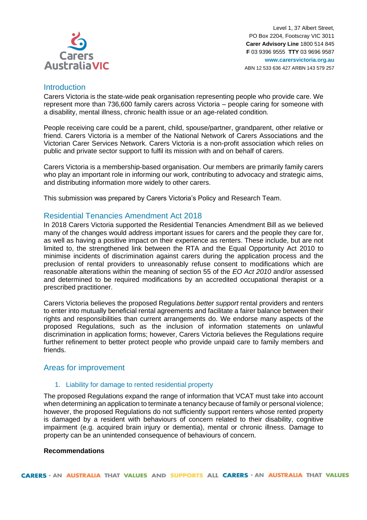

Level 1, 37 Albert Street, PO Box 2204, Footscray VIC 3011 **Carer Advisory Line** 1800 514 845 **F** 03 9396 9555 **TTY** 03 9696 9587 **www.carersvictoria.org.au** ABN 12 533 636 427 ARBN 143 579 257

## Introduction

Carers Victoria is the state-wide peak organisation representing people who provide care. We represent more than 736,600 family carers across Victoria – people caring for someone with a disability, mental illness, chronic health issue or an age-related condition.

People receiving care could be a parent, child, spouse/partner, grandparent, other relative or friend. Carers Victoria is a member of the National Network of Carers Associations and the Victorian Carer Services Network. Carers Victoria is a non-profit association which relies on public and private sector support to fulfil its mission with and on behalf of carers.

Carers Victoria is a membership-based organisation. Our members are primarily family carers who play an important role in informing our work, contributing to advocacy and strategic aims, and distributing information more widely to other carers.

This submission was prepared by Carers Victoria's Policy and Research Team.

## Residential Tenancies Amendment Act 2018

In 2018 Carers Victoria supported the Residential Tenancies Amendment Bill as we believed many of the changes would address important issues for carers and the people they care for, as well as having a positive impact on their experience as renters. These include, but are not limited to, the strengthened link between the RTA and the Equal Opportunity Act 2010 to minimise incidents of discrimination against carers during the application process and the preclusion of rental providers to unreasonably refuse consent to modifications which are reasonable alterations within the meaning of section 55 of the *EO Act 2010* and/or assessed and determined to be required modifications by an accredited occupational therapist or a prescribed practitioner.

Carers Victoria believes the proposed Regulations *better support* rental providers and renters to enter into mutually beneficial rental agreements and facilitate a fairer balance between their rights and responsibilities than current arrangements do. We endorse many aspects of the proposed Regulations, such as the inclusion of information statements on unlawful discrimination in application forms; however, Carers Victoria believes the Regulations require further refinement to better protect people who provide unpaid care to family members and friends.

### Areas for improvement

### 1. Liability for damage to rented residential property

The proposed Regulations expand the range of information that VCAT must take into account when determining an application to terminate a tenancy because of family or personal violence; however, the proposed Regulations do not sufficiently support renters whose rented property is damaged by a resident with behaviours of concern related to their disability, cognitive impairment (e.g. acquired brain injury or dementia), mental or chronic illness. Damage to property can be an unintended consequence of behaviours of concern.

#### **Recommendations**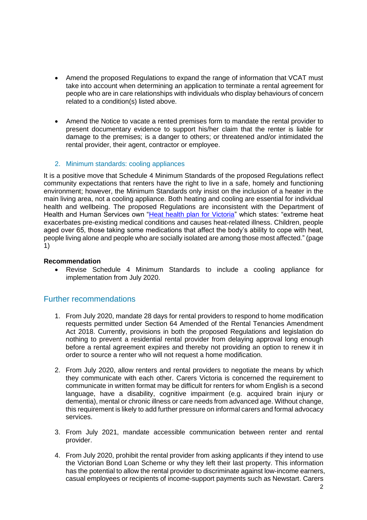- Amend the proposed Regulations to expand the range of information that VCAT must take into account when determining an application to terminate a rental agreement for people who are in care relationships with individuals who display behaviours of concern related to a condition(s) listed above.
- Amend the Notice to vacate a rented premises form to mandate the rental provider to present documentary evidence to support his/her claim that the renter is liable for damage to the premises; is a danger to others; or threatened and/or intimidated the rental provider, their agent, contractor or employee.

## 2. Minimum standards: cooling appliances

It is a positive move that Schedule 4 Minimum Standards of the proposed Regulations reflect community expectations that renters have the right to live in a safe, homely and functioning environment; however, the Minimum Standards only insist on the inclusion of a heater in the main living area, not a cooling appliance. Both heating and cooling are essential for individual health and wellbeing. The proposed Regulations are inconsistent with the Department of Health and Human Services own ["Heat health plan for Victoria"](https://www2.health.vic.gov.au/about/publications/policiesandguidelines/heat-health-plan-for-victoria) which states: "extreme heat exacerbates pre-existing medical conditions and causes heat-related illness. Children, people aged over 65, those taking some medications that affect the body's ability to cope with heat, people living alone and people who are socially isolated are among those most affected." (page 1)

### **Recommendation**

• Revise Schedule 4 Minimum Standards to include a cooling appliance for implementation from July 2020.

# Further recommendations

- 1. From July 2020, mandate 28 days for rental providers to respond to home modification requests permitted under Section 64 Amended of the Rental Tenancies Amendment Act 2018. Currently, provisions in both the proposed Regulations and legislation do nothing to prevent a residential rental provider from delaying approval long enough before a rental agreement expires and thereby not providing an option to renew it in order to source a renter who will not request a home modification.
- 2. From July 2020, allow renters and rental providers to negotiate the means by which they communicate with each other. Carers Victoria is concerned the requirement to communicate in written format may be difficult for renters for whom English is a second language, have a disability, cognitive impairment (e.g. acquired brain injury or dementia), mental or chronic illness or care needs from advanced age. Without change, this requirement is likely to add further pressure on informal carers and formal advocacy services.
- 3. From July 2021, mandate accessible communication between renter and rental provider.
- 4. From July 2020, prohibit the rental provider from asking applicants if they intend to use the Victorian Bond Loan Scheme or why they left their last property. This information has the potential to allow the rental provider to discriminate against low-income earners, casual employees or recipients of income-support payments such as Newstart. Carers